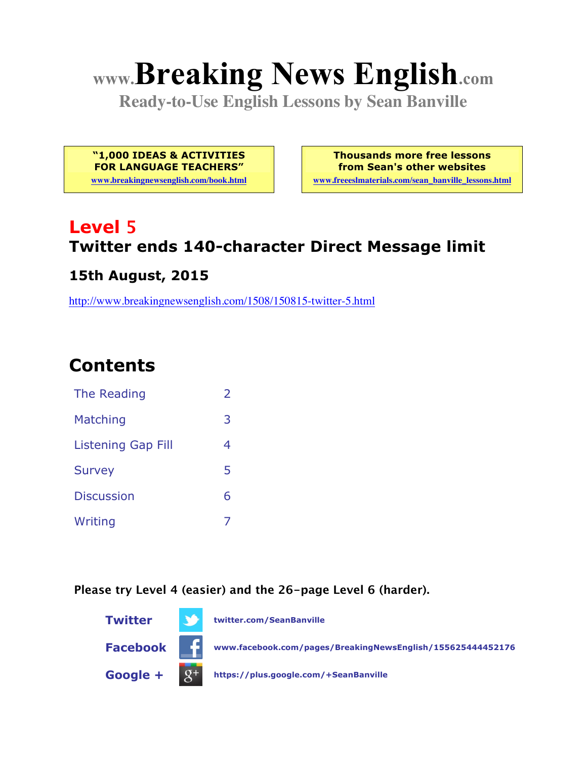# **www.Breaking News English.com**

**Ready-to-Use English Lessons by Sean Banville**

**"1,000 IDEAS & ACTIVITIES FOR LANGUAGE TEACHERS"**

**www.breakingnewsenglish.com/book.html**

**Thousands more free lessons from Sean's other websites www.freeeslmaterials.com/sean\_banville\_lessons.html**

### **Level 5 Twitter ends 140-character Direct Message limit**

#### **15th August, 2015**

http://www.breakingnewsenglish.com/1508/150815-twitter-5.html

# **Contents**

| The Reading               | $\mathcal{L}$ |
|---------------------------|---------------|
| Matching                  | 3             |
| <b>Listening Gap Fill</b> | 4             |
| <b>Survey</b>             | 5             |
| <b>Discussion</b>         | 6             |
| Writing                   |               |

**Please try Level 4 (easier) and the 26-page Level 6 (harder).**

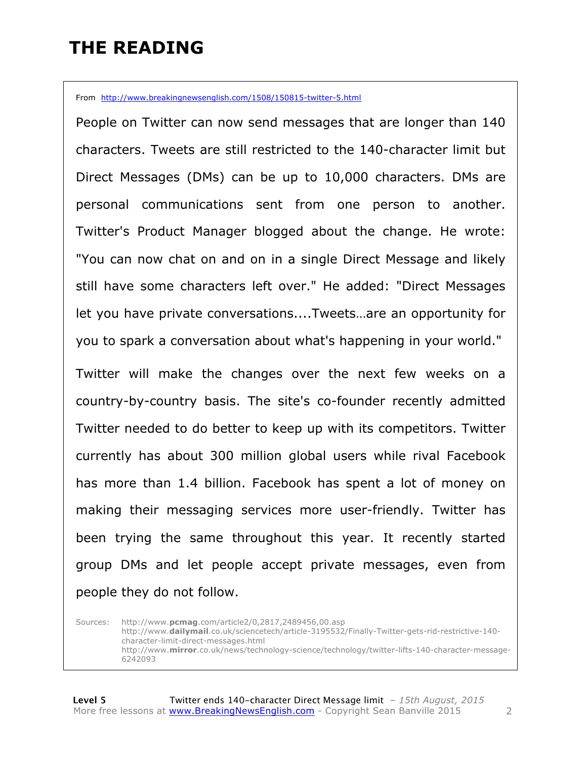# **THE READING**

From http://www.breakingnewsenglish.com/1508/150815-twitter-5.html

People on Twitter can now send messages that are longer than 140 characters. Tweets are still restricted to the 140-character limit but Direct Messages (DMs) can be up to 10,000 characters. DMs are personal communications sent from one person to another. Twitter's Product Manager blogged about the change. He wrote: "You can now chat on and on in a single Direct Message and likely still have some characters left over." He added: "Direct Messages let you have private conversations....Tweets…are an opportunity for you to spark a conversation about what's happening in your world."

Twitter will make the changes over the next few weeks on a country-by-country basis. The site's co-founder recently admitted Twitter needed to do better to keep up with its competitors. Twitter currently has about 300 million global users while rival Facebook has more than 1.4 billion. Facebook has spent a lot of money on making their messaging services more user-friendly. Twitter has been trying the same throughout this year. It recently started group DMs and let people accept private messages, even from people they do not follow.

Sources: http://www.**pcmag**.com/article2/0,2817,2489456,00.asp http://www.**dailymail**.co.uk/sciencetech/article-3195532/Finally-Twitter-gets-rid-restrictive-140 character-limit-direct-messages.html http://www.**mirror**.co.uk/news/technology-science/technology/twitter-lifts-140-character-message-6242093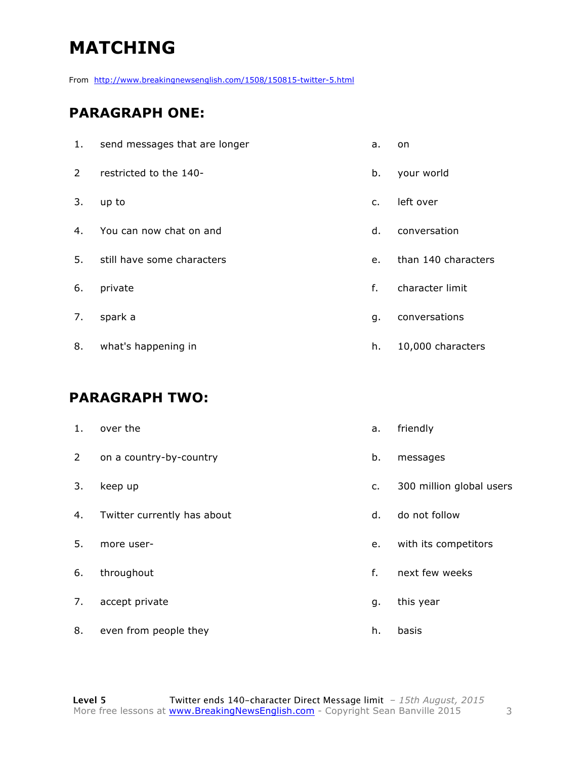# **MATCHING**

From http://www.breakingnewsenglish.com/1508/150815-twitter-5.html

#### **PARAGRAPH ONE:**

| 1. | send messages that are longer | a.             | on                  |
|----|-------------------------------|----------------|---------------------|
| 2  | restricted to the 140-        | b.             | your world          |
| 3. | up to                         | $\mathsf{C}$ . | left over           |
| 4. | You can now chat on and       | d.             | conversation        |
| 5. | still have some characters    | e.             | than 140 characters |
| 6. | private                       | f.             | character limit     |
| 7. | spark a                       | q.             | conversations       |
| 8. | what's happening in           | h.             | 10,000 characters   |

#### **PARAGRAPH TWO:**

| 1.             | over the                    | a.      | friendly                 |
|----------------|-----------------------------|---------|--------------------------|
| 2 <sup>7</sup> | on a country-by-country     | b.      | messages                 |
| 3.             | keep up                     | $C_{1}$ | 300 million global users |
| 4.             | Twitter currently has about | d.      | do not follow            |
| 5.             | more user-                  | e.      | with its competitors     |
| 6.             | throughout                  | f.      | next few weeks           |
| 7.             | accept private              | g.      | this year                |
| 8.             | even from people they       | h.      | basis                    |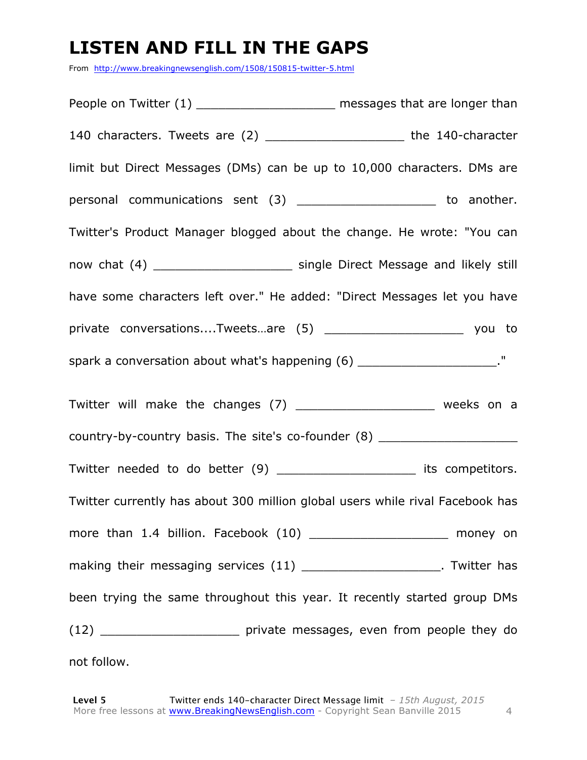# **LISTEN AND FILL IN THE GAPS**

From http://www.breakingnewsenglish.com/1508/150815-twitter-5.html

People on Twitter (1) \_\_\_\_\_\_\_\_\_\_\_\_\_\_\_\_\_\_\_\_\_\_\_ messages that are longer than 140 characters. Tweets are (2) \_\_\_\_\_\_\_\_\_\_\_\_\_\_\_\_\_\_\_ the 140-character limit but Direct Messages (DMs) can be up to 10,000 characters. DMs are personal communications sent (3) \_\_\_\_\_\_\_\_\_\_\_\_\_\_\_\_\_\_\_\_\_\_ to another. Twitter's Product Manager blogged about the change. He wrote: "You can now chat (4) **Example Direct Message and likely still** have some characters left over." He added: "Direct Messages let you have private conversations....Tweets...are (5) example to the vou to spark a conversation about what's happening (6) \_\_\_\_\_\_\_\_\_\_\_\_\_\_\_\_\_\_\_\_\_\_\_\_\_\_\_. " Twitter will make the changes (7) \_\_\_\_\_\_\_\_\_\_\_\_\_\_\_\_\_\_\_\_\_ weeks on a country-by-country basis. The site's co-founder (8) Twitter needed to do better (9) \_\_\_\_\_\_\_\_\_\_\_\_\_\_\_\_\_\_\_\_\_\_ its competitors. Twitter currently has about 300 million global users while rival Facebook has more than 1.4 billion. Facebook (10) \_\_\_\_\_\_\_\_\_\_\_\_\_\_\_\_\_\_\_\_\_ money on making their messaging services (11) Twitter has been trying the same throughout this year. It recently started group DMs (12) \_\_\_\_\_\_\_\_\_\_\_\_\_\_\_\_\_\_\_ private messages, even from people they do not follow.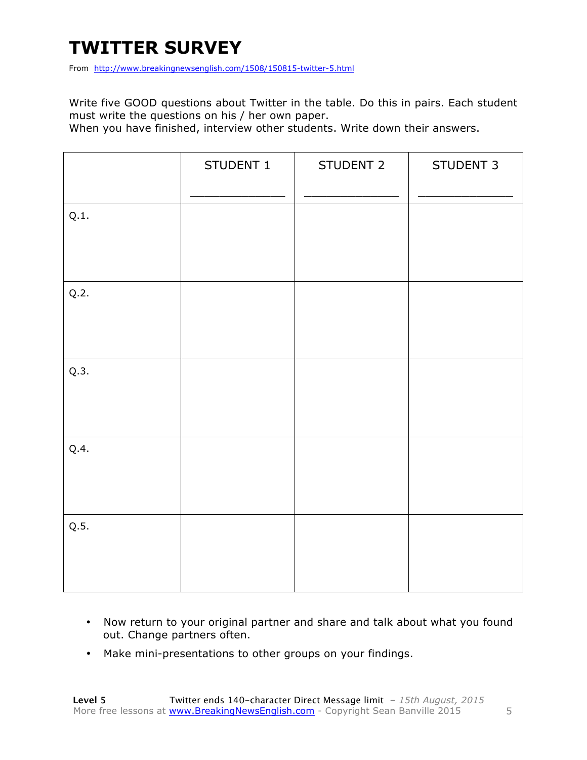# **TWITTER SURVEY**

From http://www.breakingnewsenglish.com/1508/150815-twitter-5.html

Write five GOOD questions about Twitter in the table. Do this in pairs. Each student must write the questions on his / her own paper.

When you have finished, interview other students. Write down their answers.

|      | STUDENT 1 | STUDENT 2 | STUDENT 3 |
|------|-----------|-----------|-----------|
| Q.1. |           |           |           |
| Q.2. |           |           |           |
| Q.3. |           |           |           |
| Q.4. |           |           |           |
| Q.5. |           |           |           |

- Now return to your original partner and share and talk about what you found out. Change partners often.
- Make mini-presentations to other groups on your findings.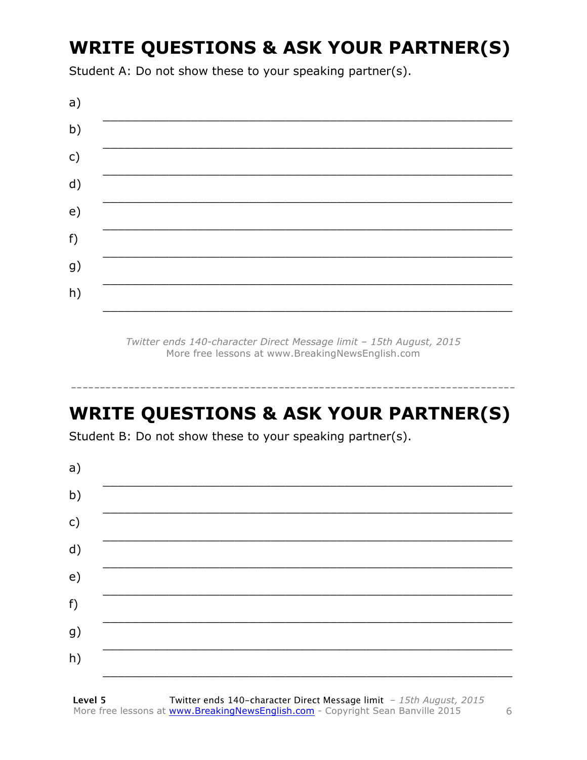# **WRITE QUESTIONS & ASK YOUR PARTNER(S)**

Student A: Do not show these to your speaking partner(s).



Twitter ends 140-character Direct Message limit - 15th August, 2015 More free lessons at www.BreakingNewsEnglish.com

# **WRITE QUESTIONS & ASK YOUR PARTNER(S)**

Student B: Do not show these to your speaking partner(s).